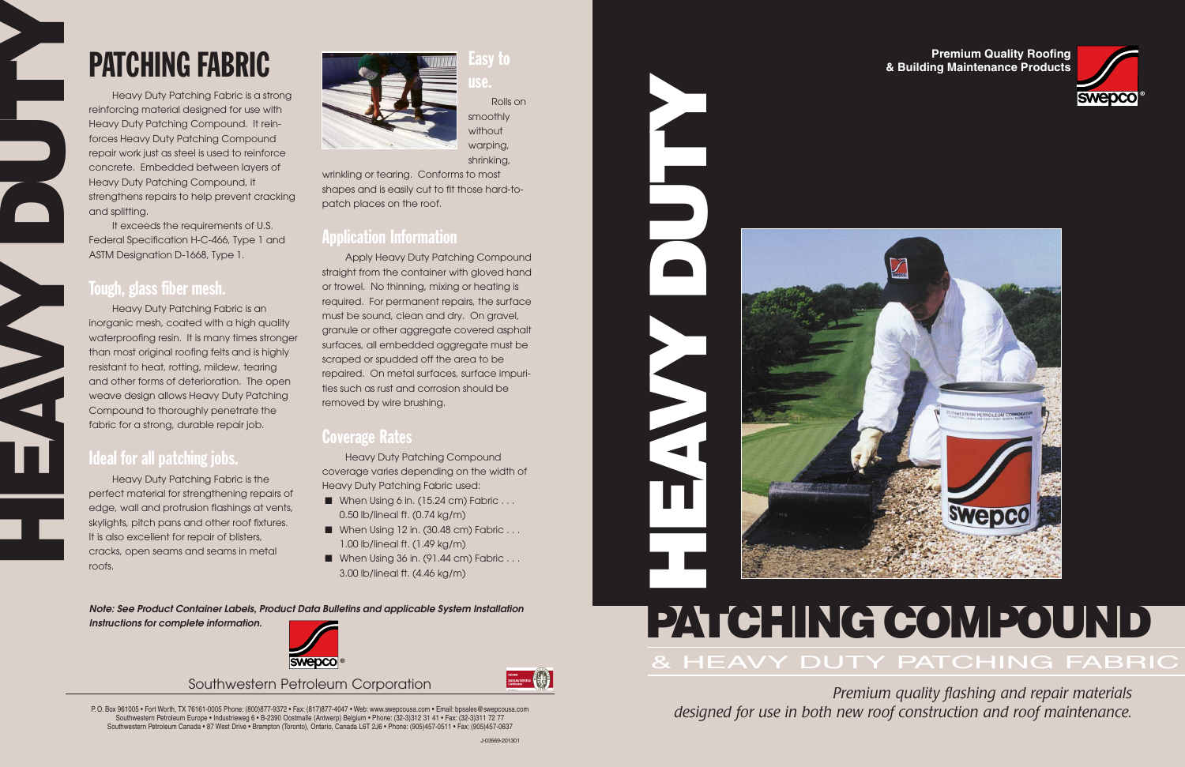## **Premium Quality Roofing & Building Maintenance Products**

**HEAVY DUTY**

# **PATCHING COMPOUND** & HEAVY DUTY PATCHING FABRIC

*Premium quality flashing and repair materials designed for use in both new roof construction and roof maintenance.*

Southwestern Petroleum Corporation



P. O. Box 961005 • Fort Worth, TX 76161-0005 Phone: (800)877-9372 • Fax: (817)877-4047 • Web: www.swepcousa.com • Email: bpsales@swepcousa.com Southwestern Petroleum Europe • Industrieweg 6 • B-2390 Oostmalle (Antwerp) Belgium • Phone: (32-3)312 31 41 • Fax: (32-3)311 72 77 Southwestern Petroleum Canada • 87 West Drive • Brampton (Toronto), Ontario, Canada L6T 2J6 • Phone: (905)457-0511 • Fax: (905)457-0637



It exceeds the requirements of U.S. Federal Specification H-C-466, Type 1 and ASTM Designation D-1668, Type 1.

# PATCHING FABRIC

Heavy Duty Patching Fabric is a strong reinforcing material designed for use with Heavy Duty Patching Compound. It reinforces Heavy Duty Patching Compound repair work just as steel is used to reinforce concrete. Embedded between layers of Heavy Duty Patching Compound, it strengthens repairs to help prevent cracking and splitting.

## Tough, glass fiber mesh.

**HEAVY** 

Heavy Duty Patching Fabric is an inorganic mesh, coated with a high quality waterproofing resin. It is many times stronger than most original roofing felts and is highly resistant to heat, rotting, mildew, tearing and other forms of deterioration. The open weave design allows Heavy Duty Patching Compound to thoroughly penetrate the fabric for a strong, durable repair job.

- When Using 6 in. (15.24 cm) Fabric . . . 0.50 lb/lineal ft. (0.74 kg/m)
- When Using 12 in. (30.48 cm) Fabric . . . 1.00 lb/lineal ft. (1.49 kg/m)
- When Using 36 in. (91.44 cm) Fabric . . . 3.00 lb/lineal ft. (4.46 kg/m)

# Ideal for all patching jobs.

Heavy Duty Patching Fabric is the perfect material for strengthening repairs of edge, wall and protrusion flashings at vents, skylights, pitch pans and other roof fixtures. It is also excellent for repair of blisters, cracks, open seams and seams in metal roofs.



# asy to

use.

Rolls on smoothly without warping, shrinking,

wrinkling or tearing. Conforms to most shapes and is easily cut to fit those hard-topatch places on the roof.

# Application Information

Apply Heavy Duty Patching Compound straight from the container with gloved hand or trowel. No thinning, mixing or heating is required. For permanent repairs, the surface must be sound, clean and dry. On gravel, granule or other aggregate covered asphalt surfaces, all embedded aggregate must be scraped or spudded off the area to be repaired. On metal surfaces, surface impurities such as rust and corrosion should be removed by wire brushing.

# Coverage Rates

Heavy Duty Patching Compound coverage varies depending on the width of Heavy Duty Patching Fabric used:

**Note: See Product Container Labels, Product Data Bulletins and applicable System Installation**

**Instructions for complete information.**